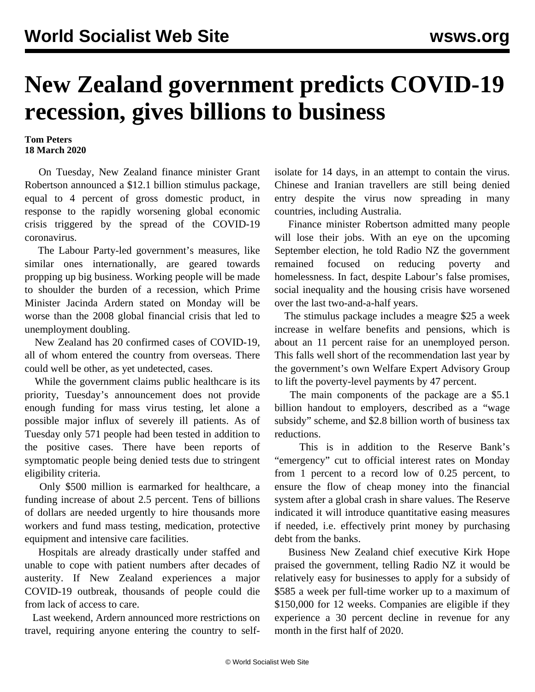## **New Zealand government predicts COVID-19 recession, gives billions to business**

## **Tom Peters 18 March 2020**

 On Tuesday, New Zealand finance minister Grant Robertson announced a \$12.1 billion stimulus package, equal to 4 percent of gross domestic product, in response to the rapidly worsening global economic crisis triggered by the spread of the COVID-19 coronavirus.

 The Labour Party-led government's measures, like similar ones internationally, are geared towards propping up big business. Working people will be made to shoulder the burden of a recession, which Prime Minister Jacinda Ardern stated on Monday will be worse than the 2008 global financial crisis that led to unemployment doubling.

 New Zealand has 20 confirmed cases of COVID-19, all of whom entered the country from overseas. There could well be other, as yet undetected, cases.

 While the government claims public healthcare is its priority, Tuesday's announcement does not provide enough funding for mass virus testing, let alone a possible major influx of severely ill patients. As of Tuesday only 571 people had been tested in addition to the positive cases. There have been reports of symptomatic people being denied tests due to stringent eligibility criteria.

 Only \$500 million is earmarked for healthcare, a funding increase of about 2.5 percent. Tens of billions of dollars are needed urgently to hire thousands more workers and fund mass testing, medication, protective equipment and intensive care facilities.

 Hospitals are already drastically under staffed and unable to cope with patient numbers after decades of austerity. If New Zealand experiences a major COVID-19 outbreak, thousands of people could die from lack of access to care.

 Last weekend, Ardern announced more restrictions on travel, requiring anyone entering the country to selfisolate for 14 days, in an attempt to contain the virus. Chinese and Iranian travellers are still being denied entry despite the virus now spreading in many countries, including Australia.

 Finance minister Robertson admitted many people will lose their jobs. With an eye on the upcoming September election, he told Radio NZ the government remained focused on reducing poverty and homelessness. In fact, despite Labour's false promises, social inequality and the housing crisis have worsened over the last two-and-a-half years.

 The stimulus package includes a meagre \$25 a week increase in welfare benefits and pensions, which is about an 11 percent raise for an unemployed person. This falls well short of the recommendation last year by the government's own Welfare Expert Advisory Group to lift the poverty-level payments by 47 percent.

 The main components of the package are a \$5.1 billion handout to employers, described as a "wage subsidy" scheme, and \$2.8 billion worth of business tax reductions.

 This is in addition to the Reserve Bank's "emergency" cut to official interest rates on Monday from 1 percent to a record low of 0.25 percent, to ensure the flow of cheap money into the financial system after a global crash in share values. The Reserve indicated it will introduce quantitative easing measures if needed, i.e. effectively print money by purchasing debt from the banks.

 Business New Zealand chief executive Kirk Hope praised the government, telling Radio NZ it would be relatively easy for businesses to apply for a subsidy of \$585 a week per full-time worker up to a maximum of \$150,000 for 12 weeks. Companies are eligible if they experience a 30 percent decline in revenue for any month in the first half of 2020.